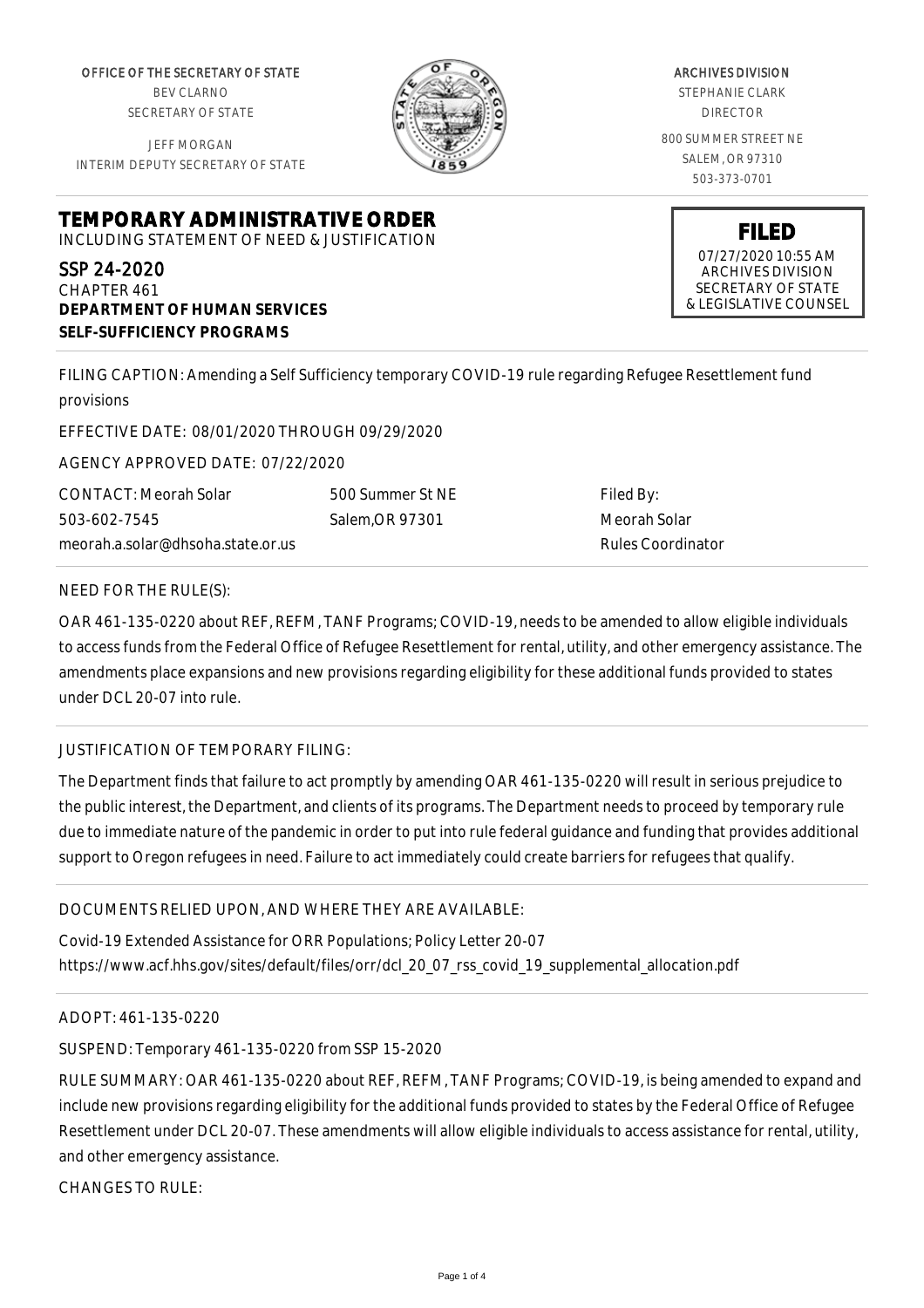OFFICE OF THE SECRETARY OF STATE BEV CLARNO SECRETARY OF STATE

JEFF MORGAN INTERIM DEPUTY SECRETARY OF STATE



ARCHIVES DIVISION STEPHANIE CLARK DIRECTOR 800 SUMMER STREET NE SALEM, OR 97310 503-373-0701

> **FILED** 07/27/2020 10:55 AM ARCHIVES DIVISION

**TEMPORARY ADMINISTRATIVE ORDER**

INCLUDING STATEMENT OF NEED & JUSTIFICATION

SSP 24-2020 CHAPTER 461 **DEPARTMENT OF HUMAN SERVICES SELF-SUFFICIENCY PROGRAMS**

SECRETARY OF STATE & LEGISLATIVE COUNSEL

Filed By: Meorah Solar Rules Coordinator

FILING CAPTION: Amending a Self Sufficiency temporary COVID-19 rule regarding Refugee Resettlement fund provisions

> 500 Summer St NE Salem,OR 97301

EFFECTIVE DATE: 08/01/2020 THROUGH 09/29/2020

AGENCY APPROVED DATE: 07/22/2020

CONTACT: Meorah Solar 503-602-7545 meorah.a.solar@dhsoha.state.or.us

## NEED FOR THE RULE(S):

OAR 461-135-0220 about REF, REFM, TANF Programs; COVID-19, needs to be amended to allow eligible individuals to access funds from the Federal Office of Refugee Resettlement for rental, utility, and other emergency assistance. The amendments place expansions and new provisions regarding eligibility for these additional funds provided to states under DCL 20-07 into rule.

## JUSTIFICATION OF TEMPORARY FILING:

The Department finds that failure to act promptly by amending OAR 461-135-0220 will result in serious prejudice to the public interest, the Department, and clients of its programs. The Department needs to proceed by temporary rule due to immediate nature of the pandemic in order to put into rule federal guidance and funding that provides additional support to Oregon refugees in need. Failure to act immediately could create barriers for refugees that qualify.

## DOCUMENTS RELIED UPON, AND WHERE THEY ARE AVAILABLE:

Covid-19 Extended Assistance for ORR Populations; Policy Letter 20-07 https://www.acf.hhs.gov/sites/default/files/orr/dcl\_20\_07\_rss\_covid\_19\_supplemental\_allocation.pdf

## ADOPT: 461-135-0220

SUSPEND: Temporary 461-135-0220 from SSP 15-2020

RULE SUMMARY: OAR 461-135-0220 about REF, REFM, TANF Programs; COVID-19, is being amended to expand and include new provisions regarding eligibility for the additional funds provided to states by the Federal Office of Refugee Resettlement under DCL 20-07. These amendments will allow eligible individuals to access assistance for rental, utility, and other emergency assistance.

CHANGES TO RULE: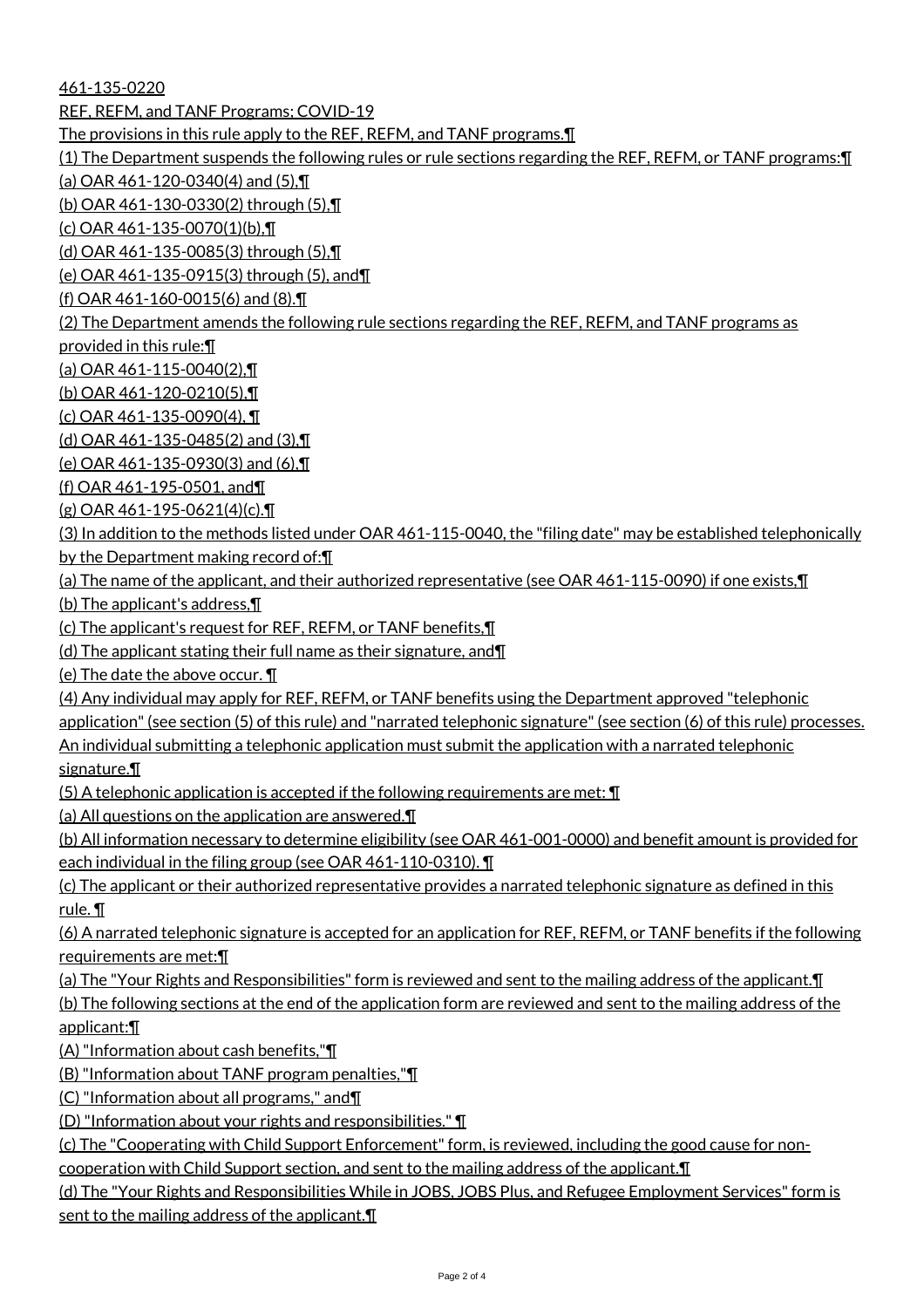461-135-0220 REF, REFM, and TANF Programs; COVID-19 The provisions in this rule apply to the REF, REFM, and TANF programs.¶ (1) The Department suspends the following rules or rule sections regarding the REF, REFM, or TANF programs:¶ (a) OAR 461-120-0340(4) and (5),¶ (b) OAR 461-130-0330(2) through (5),¶ (c) OAR 461-135-0070(1)(b),¶ (d) OAR 461-135-0085(3) through (5),¶ (e) OAR 461-135-0915(3) through (5), and¶ (f) OAR 461-160-0015(6) and (8).¶ (2) The Department amends the following rule sections regarding the REF, REFM, and TANF programs as provided in this rule:¶ (a) OAR 461-115-0040(2),¶ (b) OAR 461-120-0210(5),¶ (c) OAR 461-135-0090(4), ¶ (d) OAR 461-135-0485(2) and (3),¶ (e) OAR 461-135-0930(3) and (6),¶ (f) OAR 461-195-0501, and¶ (g) OAR 461-195-0621(4)(c).¶ (3) In addition to the methods listed under OAR 461-115-0040, the "filing date" may be established telephonically by the Department making record of:¶ (a) The name of the applicant, and their authorized representative (see OAR 461-115-0090) if one exists,¶ (b) The applicant's address,¶ (c) The applicant's request for REF, REFM, or TANF benefits,¶ (d) The applicant stating their full name as their signature, and¶ (e) The date the above occur. ¶ (4) Any individual may apply for REF, REFM, or TANF benefits using the Department approved "telephonic application" (see section (5) of this rule) and "narrated telephonic signature" (see section (6) of this rule) processes. An individual submitting a telephonic application must submit the application with a narrated telephonic signature.¶ (5) A telephonic application is accepted if the following requirements are met: ¶ (a) All questions on the application are answered.¶ (b) All information necessary to determine eligibility (see OAR 461-001-0000) and benefit amount is provided for each individual in the filing group (see OAR 461-110-0310). ¶ (c) The applicant or their authorized representative provides a narrated telephonic signature as defined in this rule. ¶ (6) A narrated telephonic signature is accepted for an application for REF, REFM, or TANF benefits if the following requirements are met:¶ (a) The "Your Rights and Responsibilities" form is reviewed and sent to the mailing address of the applicant.¶ (b) The following sections at the end of the application form are reviewed and sent to the mailing address of the applicant:¶ (A) "Information about cash benefits,"¶ (B) "Information about TANF program penalties,"¶ (C) "Information about all programs," and¶ (D) "Information about your rights and responsibilities." ¶ (c) The "Cooperating with Child Support Enforcement" form, is reviewed, including the good cause for noncooperation with Child Support section, and sent to the mailing address of the applicant.¶ (d) The "Your Rights and Responsibilities While in JOBS, JOBS Plus, and Refugee Employment Services" form is sent to the mailing address of the applicant.¶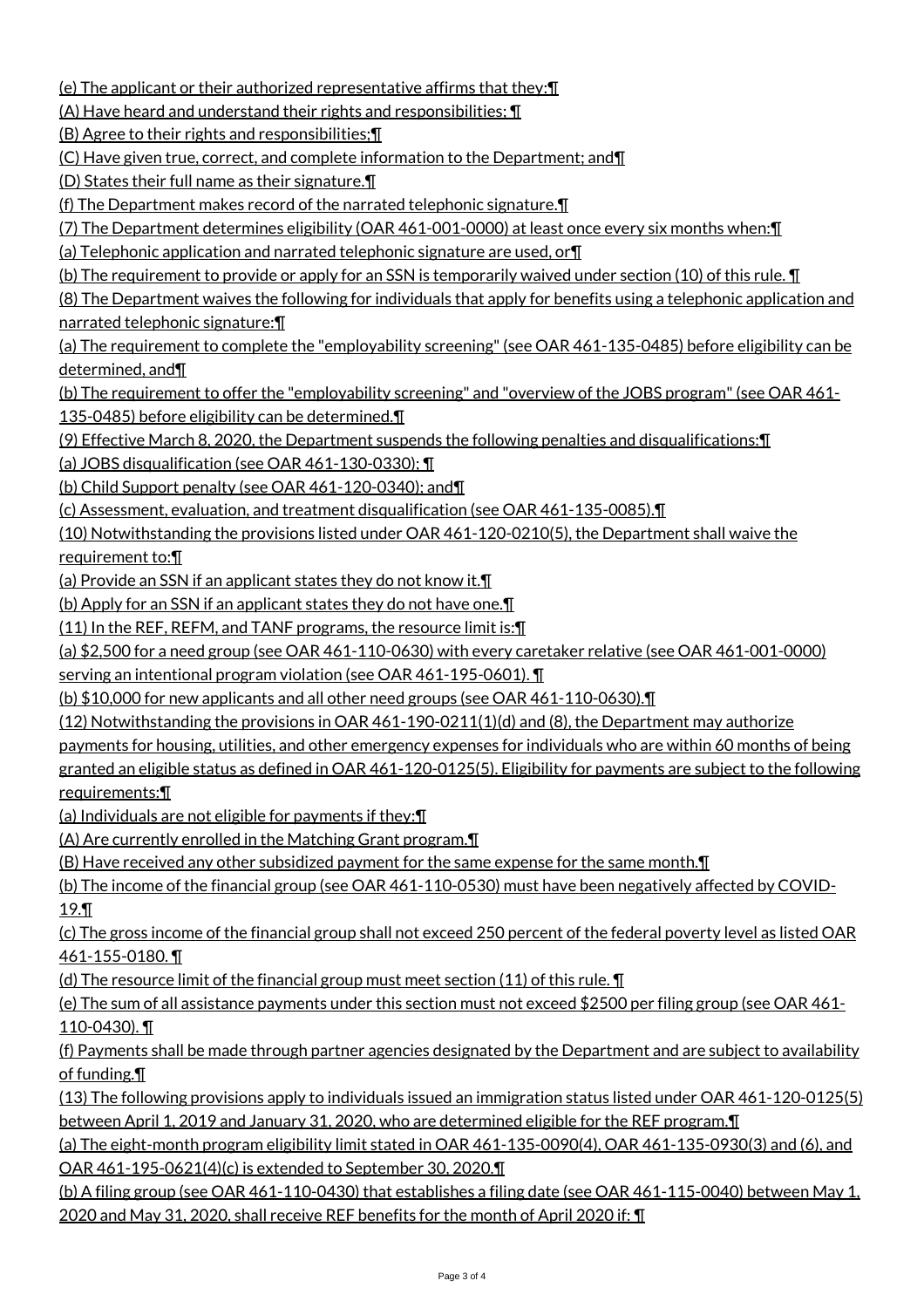(e) The applicant or their authorized representative affirms that they:¶

(A) Have heard and understand their rights and responsibilities; ¶

(B) Agree to their rights and responsibilities;¶

(C) Have given true, correct, and complete information to the Department; and¶

(D) States their full name as their signature.¶

(f) The Department makes record of the narrated telephonic signature.¶

(7) The Department determines eligibility (OAR 461-001-0000) at least once every six months when:¶

(a) Telephonic application and narrated telephonic signature are used, or¶

(b) The requirement to provide or apply for an SSN is temporarily waived under section (10) of this rule. ¶

(8) The Department waives the following for individuals that apply for benefits using a telephonic application and narrated telephonic signature:¶

(a) The requirement to complete the "employability screening" (see OAR 461-135-0485) before eligibility can be determined, and¶

(b) The requirement to offer the "employability screening" and "overview of the JOBS program" (see OAR 461-135-0485) before eligibility can be determined.¶

(9) Effective March 8, 2020, the Department suspends the following penalties and disqualifications:¶

(a) JOBS disqualification (see OAR 461-130-0330); ¶

(b) Child Support penalty (see OAR 461-120-0340); and¶

(c) Assessment, evaluation, and treatment disqualification (see OAR 461-135-0085).¶

(10) Notwithstanding the provisions listed under OAR 461-120-0210(5), the Department shall waive the requirement to:¶

(a) Provide an SSN if an applicant states they do not know it.¶

(b) Apply for an SSN if an applicant states they do not have one.¶

(11) In the REF, REFM, and TANF programs, the resource limit is:¶

(a) \$2,500 for a need group (see OAR 461-110-0630) with every caretaker relative (see OAR 461-001-0000)

serving an intentional program violation (see OAR 461-195-0601). ¶

(b) \$10,000 for new applicants and all other need groups (see OAR 461-110-0630).¶

(12) Notwithstanding the provisions in OAR 461-190-0211(1)(d) and (8), the Department may authorize

payments for housing, utilities, and other emergency expenses for individuals who are within 60 months of being granted an eligible status as defined in OAR 461-120-0125(5). Eligibility for payments are subject to the following

requirements:¶

(a) Individuals are not eligible for payments if they:¶

(A) Are currently enrolled in the Matching Grant program.¶

(B) Have received any other subsidized payment for the same expense for the same month.¶

(b) The income of the financial group (see OAR 461-110-0530) must have been negatively affected by COVID-19.¶

(c) The gross income of the financial group shall not exceed 250 percent of the federal poverty level as listed OAR 461-155-0180. ¶

(d) The resource limit of the financial group must meet section (11) of this rule. ¶

(e) The sum of all assistance payments under this section must not exceed \$2500 per filing group (see OAR 461- 110-0430). ¶

(f) Payments shall be made through partner agencies designated by the Department and are subject to availability of funding.¶

(13) The following provisions apply to individuals issued an immigration status listed under OAR 461-120-0125(5) between April 1, 2019 and January 31, 2020, who are determined eligible for the REF program.¶

(a) The eight-month program eligibility limit stated in OAR 461-135-0090(4), OAR 461-135-0930(3) and (6), and OAR 461-195-0621(4)(c) is extended to September 30, 2020.¶

(b) A filing group (see OAR 461-110-0430) that establishes a filing date (see OAR 461-115-0040) between May 1, 2020 and May 31, 2020, shall receive REF benefits for the month of April 2020 if: ¶